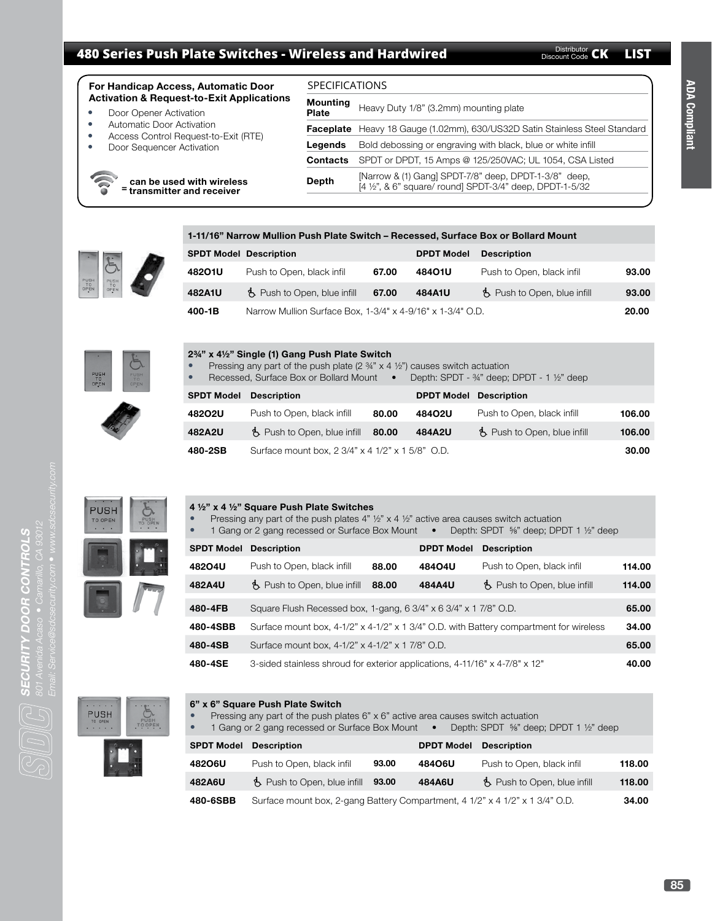# **480 Series Push Plate Switches - Wireless and Hardwired <b>CALLIST** Discount Code CK LIST

| <b>For Handicap Access, Automatic Door</b><br><b>Activation &amp; Request-to-Exit Applications</b> |                                                                                             | <b>SPECIFICATIONS</b>                                        |                                                                                                                   |  |  |
|----------------------------------------------------------------------------------------------------|---------------------------------------------------------------------------------------------|--------------------------------------------------------------|-------------------------------------------------------------------------------------------------------------------|--|--|
|                                                                                                    |                                                                                             | Mounting                                                     | Heavy Duty 1/8" (3.2mm) mounting plate                                                                            |  |  |
| $\bullet$                                                                                          | Door Opener Activation<br>Automatic Door Activation<br>Access Control Request-to-Exit (RTE) | Plate                                                        |                                                                                                                   |  |  |
| $\bullet$<br>$\bullet$                                                                             |                                                                                             |                                                              | Faceplate Heavy 18 Gauge (1.02mm), 630/US32D Satin Stainless Steel Standard                                       |  |  |
| Door Sequencer Activation<br>$\bullet$                                                             | Legends                                                                                     | Bold debossing or engraving with black, blue or white infill |                                                                                                                   |  |  |
|                                                                                                    |                                                                                             | <b>Contacts</b>                                              | SPDT or DPDT, 15 Amps @ 125/250VAC; UL 1054, CSA Listed                                                           |  |  |
| can be used with wireless<br>= transmitter and receiver                                            |                                                                                             | Depth                                                        | [Narrow & (1) Gang] SPDT-7/8" deep, DPDT-1-3/8" deep,<br>[4 1/2", & 6" square/ round] SPDT-3/4" deep, DPDT-1-5/32 |  |  |
|                                                                                                    |                                                                                             |                                                              |                                                                                                                   |  |  |

# **1-11/16" Narrow Mullion Push Plate Switch – Recessed, Surface Box or Bollard Mount**



| <u>1-11/10 TNATIOW MUNICIL PUSH PIALE SWILGH – NECESSEU, SUITACE DOX OF DOMAIU MOUNT</u> |                                      |       |                   |                                      |       |  |  |  |
|------------------------------------------------------------------------------------------|--------------------------------------|-------|-------------------|--------------------------------------|-------|--|--|--|
| <b>SPDT Model Description</b>                                                            |                                      |       | <b>DPDT Model</b> | <b>Description</b>                   |       |  |  |  |
| 48201U                                                                                   | Push to Open, black infil            | 67.00 | 48401U            | Push to Open, black infil            | 93.00 |  |  |  |
| 482A1U                                                                                   | $\uparrow$ Push to Open, blue infill | 67.00 | 484A1U            | $\uparrow$ Push to Open, blue infill | 93.00 |  |  |  |
| Narrow Mullion Surface Box, 1-3/4" x 4-9/16" x 1-3/4" O.D.<br>400-1B                     |                                      |       |                   |                                      | 20.00 |  |  |  |



| 2 <sup>3</sup> / <sub>4</sub> " x 4 <sup>1</sup> / <sub>2</sub> " Single (1) Gang Push Plate Switch<br>Pressing any part of the push plate (2 $\frac{3}{4}$ " x 4 $\frac{1}{2}$ ") causes switch actuation<br>$\bullet$<br>Depth: SPDT - $\frac{3}{4}$ " deep; DPDT - 1 $\frac{1}{2}$ " deep<br>Recessed, Surface Box or Bollard Mount •<br>$\bullet$ |                                                  |       |                               |                              |        |
|-------------------------------------------------------------------------------------------------------------------------------------------------------------------------------------------------------------------------------------------------------------------------------------------------------------------------------------------------------|--------------------------------------------------|-------|-------------------------------|------------------------------|--------|
| <b>SPDT Model</b>                                                                                                                                                                                                                                                                                                                                     | <b>Description</b>                               |       | <b>DPDT Model Description</b> |                              |        |
| 48202U                                                                                                                                                                                                                                                                                                                                                | Push to Open, black infill                       | 80.00 | 48402U                        | Push to Open, black infill   | 106.00 |
| 482A2U                                                                                                                                                                                                                                                                                                                                                | $\uparrow$ Push to Open, blue infill             | 80.00 | 484A2U                        | B. Push to Open, blue infill | 106.00 |
| 480-2SB                                                                                                                                                                                                                                                                                                                                               | Surface mount box, 2 3/4" x 4 1/2" x 1 5/8" O.D. |       |                               |                              | 30.00  |



# **4 ½" x 4 ½" Square Push Plate Switches**

**6" x 6" Square Push Plate Switch**

- Pressing any part of the push plates  $4$ "  $\frac{1}{2}$ " x  $4\frac{1}{2}$ " active area causes switch actuation<br>• 1 Gang or 2 gang recessed or Surface Box Mount Denth: SPDT  $56$ " deep: DPI
- 1 Gang or 2 gang recessed or Surface Box Mount Depth: SPDT ⅝" deep; DPDT 1 ½" deep

| <b>SPDT Model Description</b> |                                                                                                 |       | <b>DPDT Model</b> | <b>Description</b>           |        |
|-------------------------------|-------------------------------------------------------------------------------------------------|-------|-------------------|------------------------------|--------|
| 48204U                        | Push to Open, black infill                                                                      | 88.00 | 48404U            | Push to Open, black infil    | 114.00 |
| 482A4U                        | B. Push to Open, blue infill                                                                    | 88.00 | 484A4U            | B. Push to Open, blue infill | 114.00 |
| 480-4FB                       | Square Flush Recessed box, 1-gang, 6 3/4" x 6 3/4" x 1 7/8" O.D.                                |       |                   |                              | 65.00  |
| 480-4SBB                      | Surface mount box, $4-1/2$ " x $4-1/2$ " x 1 $3/4$ " O.D. with Battery compartment for wireless |       |                   |                              | 34.00  |
| 480-4SB                       | Surface mount box, 4-1/2" x 4-1/2" x 1 7/8" O.D.                                                |       |                   |                              | 65.00  |
| 480-4SE                       | 3-sided stainless shroud for exterior applications, 4-11/16" x 4-7/8" x 12"                     |       |                   |                              | 40.00  |



| $\sum_{i=1}^{N}$ | $\bullet$         | Pressing any part of the push plates $6" \times 6"$ active area causes switch actuation<br>1 Gang or 2 gang recessed or Surface Box Mount • |       |                   | Depth: SPDT $\frac{5}{8}$ " deep; DPDT 1 $\frac{1}{2}$ " deep |        |
|------------------|-------------------|---------------------------------------------------------------------------------------------------------------------------------------------|-------|-------------------|---------------------------------------------------------------|--------|
|                  | <b>SPDT Model</b> | <b>Description</b>                                                                                                                          |       | <b>DPDT Model</b> | <b>Description</b>                                            |        |
|                  | 48206U            | Push to Open, black infil                                                                                                                   | 93.00 | 48406U            | Push to Open, black infil                                     | 118.00 |
|                  | 482A6U            | $\Lambda$ Push to Open, blue infill                                                                                                         | 93.00 | 484A6U            | B. Push to Open, blue infill                                  | 118.00 |
|                  | 480-6SBB          | Surface mount box, 2-gang Battery Compartment, 4 1/2" x 4 1/2" x 1 3/4" O.D.                                                                |       |                   |                                                               | 34.00  |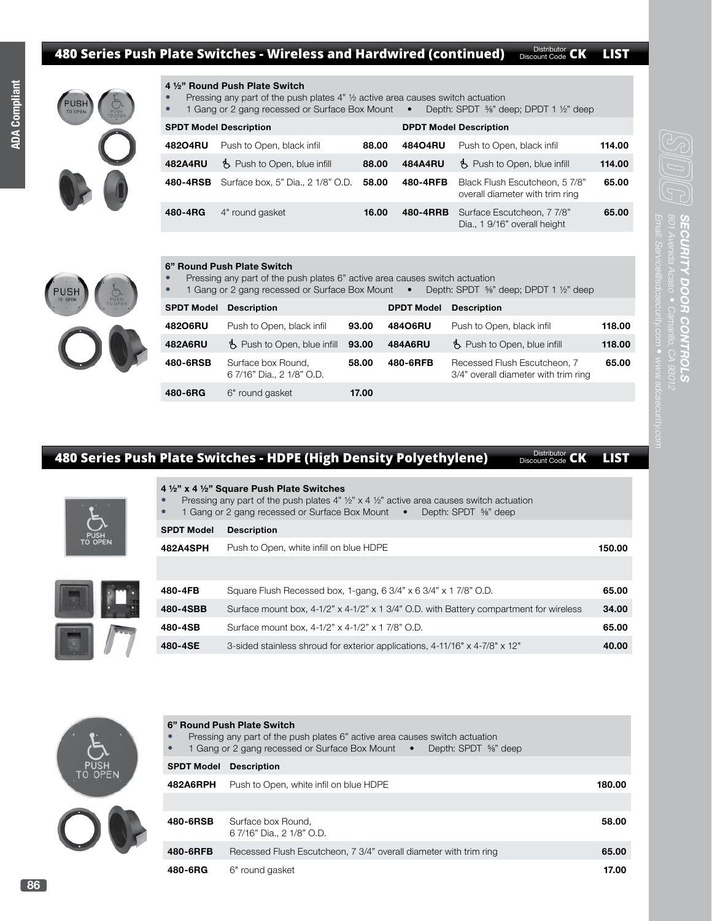#### **480 Series Push Plate Switches - Wireless and Hardwired (continued)** Discount Code CK LIST Distributor CK

**ADA Compliant ADA Compliant**



## **4 ½" Round Push Plate Switch**

- Pressing any part of the push plates  $4$ "  $\frac{1}{2}$  active area causes switch actuation<br>• 1 Gang or 2 gang recessed or Surface Box Mount Depth: SPDT  $\frac{56}{12}$  de
- 1 Gang or 2 gang recessed or Surface Box Mount Depth: SPDT 5%" deep; DPDT 1 1/2" deep

| <b>SPDT Model Description</b> |                                      |       | <b>DPDT Model Description</b> |                                                                   |        |  |
|-------------------------------|--------------------------------------|-------|-------------------------------|-------------------------------------------------------------------|--------|--|
| 48204RU                       | Push to Open, black infil            | 88.00 | 48404RU                       | Push to Open, black infil                                         | 114.00 |  |
| 482A4RU                       | $\uparrow$ Push to Open, blue infill | 88.00 | 484A4RU                       | B. Push to Open, blue infill                                      | 114.00 |  |
| 480-4RSB                      | Surface box, 5" Dia., 2 1/8" O.D.    | 58.00 | 480-4RFB                      | Black Flush Escutcheon, 5 7/8"<br>overall diameter with trim ring | 65.00  |  |
| 480-4RG                       | 4" round gasket                      | 16.00 | 480-4RRB                      | Surface Escutcheon, 7 7/8"<br>Dia., 1 9/16" overall height        | 65.00  |  |

#### **6" Round Push Plate Switch**

- Pressing any part of the push plates 6" active area causes switch actuation<br>• 1 Gang or 2 gang recessed or Surface Box Mount Depth: SPDT %"
	- 1 Gang or 2 gang recessed or Surface Box Mount . Depth: SPDT 5%" deep; DPDT 1 1/2" deep

| <b>SPDT Model</b> | <b>Description</b>                              |       | <b>DPDT Model</b> | <b>Description</b>                                                   |        |
|-------------------|-------------------------------------------------|-------|-------------------|----------------------------------------------------------------------|--------|
| 48206RU           | Push to Open, black infil                       | 93.00 | 48406RU           | Push to Open, black infil                                            | 118.00 |
| 482A6RU           | $\uparrow$ Push to Open, blue infill $\,$ 93.00 |       | 484A6RU           | $\uparrow$ Push to Open, blue infill                                 | 118.00 |
| 480-6RSB          | Surface box Round,<br>6 7/16" Dia., 2 1/8" O.D. | 58.00 | 480-6RFB          | Recessed Flush Escutcheon, 7<br>3/4" overall diameter with trim ring | 65.00  |
| 480-6RG           | 6" round gasket                                 | 17.00 |                   |                                                                      |        |

# **480 Series Push Plate Switches - HDPE (High Density Polyethylene) Discount Code CK LIST**

|  | $\bullet$<br>$\bullet$ | 4 1/2" x 4 1/2" Square Push Plate Switches<br>Pressing any part of the push plates 4" $\frac{1}{2}$ " x 4 $\frac{1}{2}$ " active area causes switch actuation<br>1 Gang or 2 gang recessed or Surface Box Mount . Depth: SPDT 5%" deep |        |
|--|------------------------|----------------------------------------------------------------------------------------------------------------------------------------------------------------------------------------------------------------------------------------|--------|
|  | <b>SPDT Model</b>      | <b>Description</b>                                                                                                                                                                                                                     |        |
|  | 482A4SPH               | Push to Open, white infill on blue HDPE                                                                                                                                                                                                | 150.00 |
|  |                        |                                                                                                                                                                                                                                        |        |
|  | 480-4FB                | Square Flush Recessed box, 1-gang, 6 3/4" x 6 3/4" x 1 7/8" O.D.                                                                                                                                                                       | 65.00  |
|  | 480-4SBB               | Surface mount box, 4-1/2" x 4-1/2" x 1 3/4" O.D. with Battery compartment for wireless                                                                                                                                                 | 34.00  |
|  | 480-4SB                | Surface mount box, 4-1/2" x 4-1/2" x 1 7/8" O.D.                                                                                                                                                                                       | 65.00  |
|  | 480-4SE                | 3-sided stainless shroud for exterior applications, 4-11/16" x 4-7/8" x 12"                                                                                                                                                            | 40.00  |
|  |                        |                                                                                                                                                                                                                                        |        |

|           |                   | 6" Round Push Plate Switch<br>Pressing any part of the push plates 6" active area causes switch actuation<br>1 Gang or 2 gang recessed or Surface Box Mount • Depth: SPDT 5%" deep |        |
|-----------|-------------------|------------------------------------------------------------------------------------------------------------------------------------------------------------------------------------|--------|
| SH<br>PEN | <b>SPDT Model</b> | <b>Description</b>                                                                                                                                                                 |        |
|           | 482A6RPH          | Push to Open, white infil on blue HDPE                                                                                                                                             | 180.00 |
|           |                   |                                                                                                                                                                                    |        |
|           | 480-6RSB          | Surface box Round.<br>6 7/16" Dia., 2 1/8" O.D.                                                                                                                                    | 58.00  |
|           | 480-6RFB          | Recessed Flush Escutcheon, 7 3/4" overall diameter with trim ring                                                                                                                  | 65.00  |
|           | 480-6RG           | 6" round gasket                                                                                                                                                                    | 17.00  |

801 Avenida Acaso

**SECURITY DOOR CONTROLS**

ECURITY DOOR CONTROLS

10 O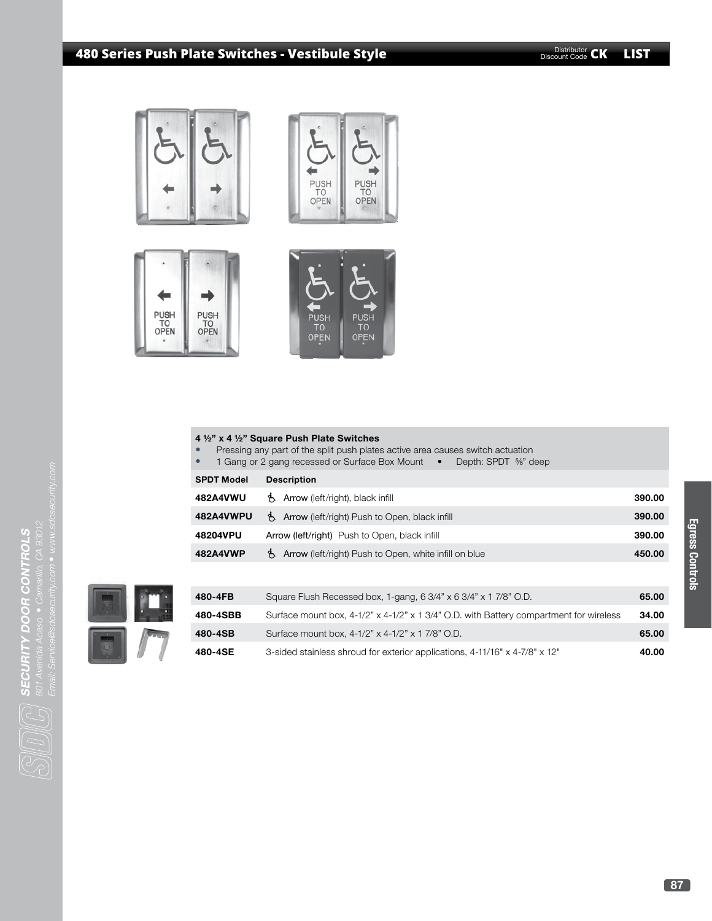# **480 Series Push Plate Switches - Vestibule Style CK CK LIST** Discount Code **CK LIST**









| $\bullet$<br>$\bullet$ | 4 1/2" x 4 1/2" Square Push Plate Switches<br>Pressing any part of the split push plates active area causes switch actuation<br>1 Gang or 2 gang recessed or Surface Box Mount •<br>Depth: SPDT %" deep |        |  |  |  |  |
|------------------------|---------------------------------------------------------------------------------------------------------------------------------------------------------------------------------------------------------|--------|--|--|--|--|
| <b>SPDT Model</b>      | <b>Description</b>                                                                                                                                                                                      |        |  |  |  |  |
| 482A4VWU               | Arrow (left/right), black infill                                                                                                                                                                        | 390.00 |  |  |  |  |
| 482A4VWPU              | <b>15.</b> Arrow (left/right) Push to Open, black infill                                                                                                                                                |        |  |  |  |  |
| 48204VPU               | Arrow (left/right) Push to Open, black infill                                                                                                                                                           | 390.00 |  |  |  |  |
| 482A4VWP               | Arrow (left/right) Push to Open, white infill on blue                                                                                                                                                   | 450.00 |  |  |  |  |
|                        |                                                                                                                                                                                                         |        |  |  |  |  |



| 480-4FB  | Square Flush Recessed box, 1-gang, 6 3/4" x 6 3/4" x 1 7/8" O.D.                                | 65.00 |
|----------|-------------------------------------------------------------------------------------------------|-------|
| 480-4SBB | Surface mount box, $4-1/2$ " x $4-1/2$ " x 1 $3/4$ " O.D. with Battery compartment for wireless | 34.00 |
| 480-4SB  | Surface mount box, 4-1/2" x 4-1/2" x 1 7/8" O.D.                                                | 65.00 |
| 480-4SE  | 3-sided stainless shroud for exterior applications, 4-11/16" x 4-7/8" x 12"                     | 40.00 |



**SECURITY DOOR CONTROLS**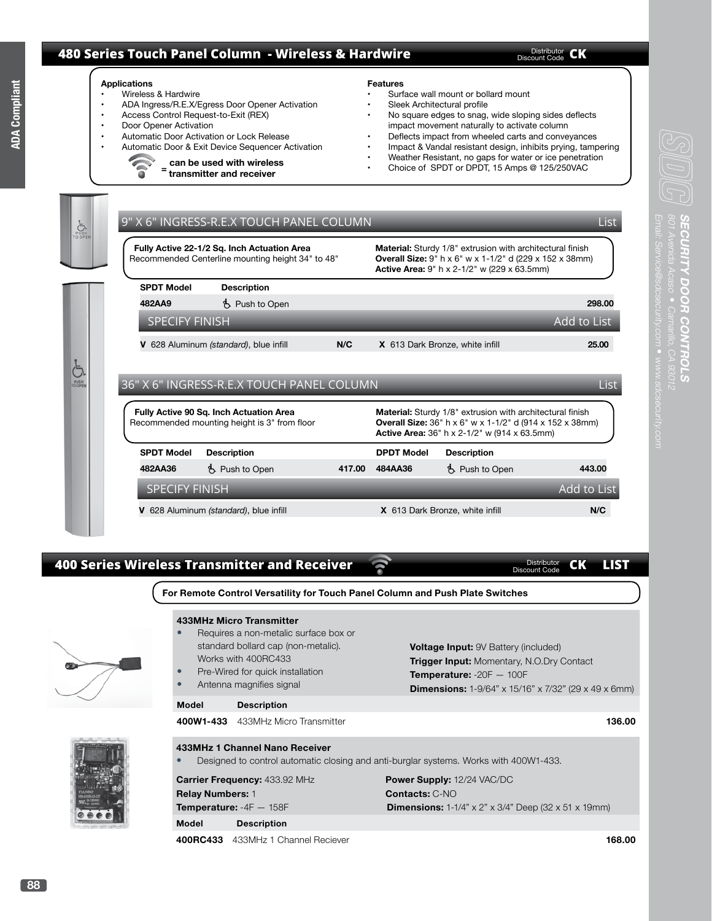# **480 Series Touch Panel Column - Wireless & Hardwire**

Distributor **CK** 

Distributor<br>Discount Code





# **400 Series Wireless Transmitter and Receiver CK LIST** Distributor

**For Remote Control Versatility for Touch Panel Column and Push Plate Switches**



|                                               | 433MHz Micro Transmitter              |                                                                                         |  |
|-----------------------------------------------|---------------------------------------|-----------------------------------------------------------------------------------------|--|
| $\bullet$                                     | Requires a non-metalic surface box or |                                                                                         |  |
|                                               | standard bollard cap (non-metalic).   | <b>Voltage Input: 9V Battery (included)</b>                                             |  |
|                                               | Works with 400RC433                   | <b>Trigger Input:</b> Momentary, N.O.Dry Contact                                        |  |
| Pre-Wired for quick installation<br>$\bullet$ |                                       | <b>Temperature:</b> $-20F - 100F$                                                       |  |
| Antenna magnifies signal<br>$\bullet$         |                                       | <b>Dimensions:</b> 1-9/64" x 15/16" x 7/32" (29 x 49 x 6mm)                             |  |
| Model                                         | <b>Description</b>                    |                                                                                         |  |
|                                               | 400W1-433 433MHz Micro Transmitter    |                                                                                         |  |
|                                               |                                       | 136.00                                                                                  |  |
|                                               | 433MHz 1 Channel Nano Receiver        |                                                                                         |  |
| $\bullet$                                     |                                       | Designed to control automatic closing and anti-burglar systems. Works with 400W1-433.   |  |
|                                               |                                       |                                                                                         |  |
|                                               | <b>Carrier Frequency:</b> 433.92 MHz  | <b>Power Supply: 12/24 VAC/DC</b>                                                       |  |
| <b>Relay Numbers:</b> 1                       |                                       | <b>Contacts: C-NO</b>                                                                   |  |
|                                               | Temperature: $-4F - 158F$             | <b>Dimensions:</b> 1-1/4" $\times$ 2" $\times$ 3/4" Deep (32 $\times$ 51 $\times$ 19mm) |  |
| Model                                         | <b>Description</b>                    |                                                                                         |  |
|                                               | 400RC433 433MHz 1 Channel Reciever    | 168.00                                                                                  |  |
|                                               |                                       |                                                                                         |  |